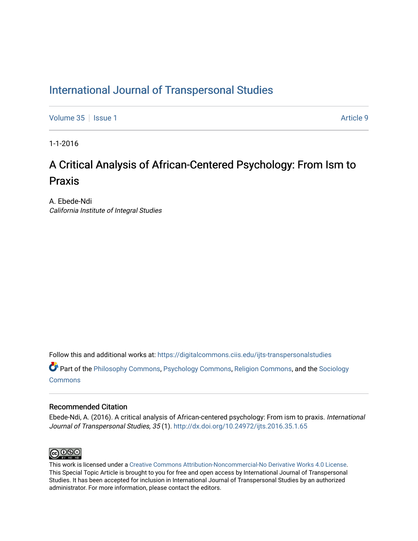# [International Journal of Transpersonal Studies](https://digitalcommons.ciis.edu/ijts-transpersonalstudies)

[Volume 35](https://digitalcommons.ciis.edu/ijts-transpersonalstudies/vol35) | [Issue 1](https://digitalcommons.ciis.edu/ijts-transpersonalstudies/vol35/iss1) Article 9

1-1-2016

# A Critical Analysis of African-Centered Psychology: From Ism to Praxis

A. Ebede-Ndi California Institute of Integral Studies

Follow this and additional works at: [https://digitalcommons.ciis.edu/ijts-transpersonalstudies](https://digitalcommons.ciis.edu/ijts-transpersonalstudies?utm_source=digitalcommons.ciis.edu%2Fijts-transpersonalstudies%2Fvol35%2Fiss1%2F9&utm_medium=PDF&utm_campaign=PDFCoverPages) 

Part of the [Philosophy Commons,](http://network.bepress.com/hgg/discipline/525?utm_source=digitalcommons.ciis.edu%2Fijts-transpersonalstudies%2Fvol35%2Fiss1%2F9&utm_medium=PDF&utm_campaign=PDFCoverPages) [Psychology Commons,](http://network.bepress.com/hgg/discipline/404?utm_source=digitalcommons.ciis.edu%2Fijts-transpersonalstudies%2Fvol35%2Fiss1%2F9&utm_medium=PDF&utm_campaign=PDFCoverPages) [Religion Commons,](http://network.bepress.com/hgg/discipline/538?utm_source=digitalcommons.ciis.edu%2Fijts-transpersonalstudies%2Fvol35%2Fiss1%2F9&utm_medium=PDF&utm_campaign=PDFCoverPages) and the [Sociology](http://network.bepress.com/hgg/discipline/416?utm_source=digitalcommons.ciis.edu%2Fijts-transpersonalstudies%2Fvol35%2Fiss1%2F9&utm_medium=PDF&utm_campaign=PDFCoverPages) [Commons](http://network.bepress.com/hgg/discipline/416?utm_source=digitalcommons.ciis.edu%2Fijts-transpersonalstudies%2Fvol35%2Fiss1%2F9&utm_medium=PDF&utm_campaign=PDFCoverPages)

## Recommended Citation

Ebede-Ndi, A. (2016). A critical analysis of African-centered psychology: From ism to praxis. International Journal of Transpersonal Studies, 35 (1). <http://dx.doi.org/10.24972/ijts.2016.35.1.65>



This work is licensed under a [Creative Commons Attribution-Noncommercial-No Derivative Works 4.0 License.](https://creativecommons.org/licenses/by-nc-nd/4.0/) This Special Topic Article is brought to you for free and open access by International Journal of Transpersonal Studies. It has been accepted for inclusion in International Journal of Transpersonal Studies by an authorized administrator. For more information, please contact the editors.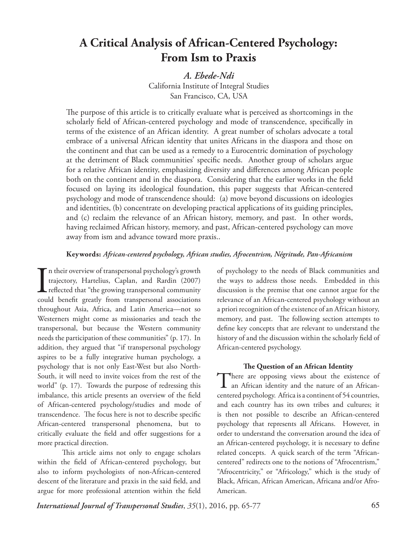# **A Critical Analysis of African-Centered Psychology: From Ism to Praxis**

# *A. Ebede-Ndi*

California Institute of Integral Studies San Francisco, CA, USA

The purpose of this article is to critically evaluate what is perceived as shortcomings in the scholarly field of African-centered psychology and mode of transcendence, specifically in terms of the existence of an African identity. A great number of scholars advocate a total embrace of a universal African identity that unites Africans in the diaspora and those on the continent and that can be used as a remedy to a Eurocentric domination of psychology at the detriment of Black communities' specific needs. Another group of scholars argue for a relative African identity, emphasizing diversity and differences among African people both on the continent and in the diaspora. Considering that the earlier works in the field focused on laying its ideological foundation, this paper suggests that African-centered psychology and mode of transcendence should: (a) move beyond discussions on ideologies and identities, (b) concentrate on developing practical applications of its guiding principles, and (c) reclaim the relevance of an African history, memory, and past. In other words, having reclaimed African history, memory, and past, African-centered psychology can move away from ism and advance toward more praxis..

### **Keywords:** *African-centered psychology, African studies, Afrocentrism, Négritude, Pan-Africanism*

I<sub>cou</sub> n their overview of transpersonal psychology's growth trajectory, Hartelius, Caplan, and Rardin (2007) reflected that "the growing transpersonal community could benefit greatly from transpersonal associations throughout Asia, Africa, and Latin America—not so Westerners might come as missionaries and teach the transpersonal, but because the Western community needs the participation of these communities" (p. 17). In addition, they argued that "if transpersonal psychology aspires to be a fully integrative human psychology, a psychology that is not only East-West but also North-South, it will need to invite voices from the rest of the world" (p. 17). Towards the purpose of redressing this imbalance, this article presents an overview of the field of African-centered psychology/studies and mode of transcendence. The focus here is not to describe specific African-centered transpersonal phenomena, but to critically evaluate the field and offer suggestions for a more practical direction.

This article aims not only to engage scholars within the field of African-centered psychology, but also to inform psychologists of non-African-centered descent of the literature and praxis in the said field, and argue for more professional attention within the field of psychology to the needs of Black communities and the ways to address those needs. Embedded in this discussion is the premise that one cannot argue for the relevance of an African-centered psychology without an a priori recognition of the existence of an African history, memory, and past. The following section attempts to define key concepts that are relevant to understand the history of and the discussion within the scholarly field of African-centered psychology.

#### **The Question of an African Identity**

There are opposing views about the existence of an African-<br>
an African identity and the nature of an Africancentered psychology. Africa is a continent of 54 countries, and each country has its own tribes and cultures; it is then not possible to describe an African-centered psychology that represents all Africans. However, in order to understand the conversation around the idea of an African-centered psychology, it is necessary to define related concepts. A quick search of the term "Africancentered" redirects one to the notions of "Afrocentrism," "Afrocentricity," or "Africology," which is the study of Black, African, African American, Africana and/or Afro-American.

*International Journal of Transpersonal Studies*,  $35(1)$ , 2016, pp. 65-77 *International Journal of Transpersonal Studies*,  $35(1)$ , 2016, pp. 65-77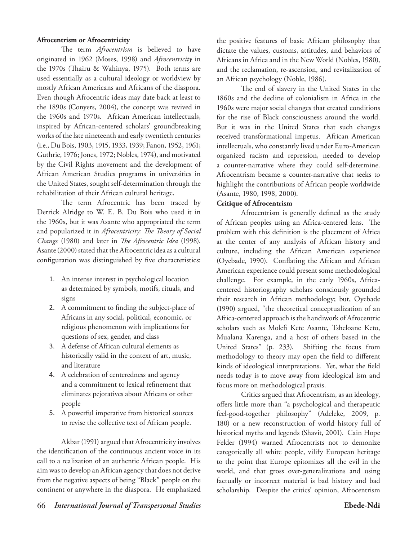### **Afrocentrism or Afrocentricity**

The term *Afrocentrism* is believed to have originated in 1962 (Moses, 1998) and *Afrocentricity* in the 1970s (Thairu & Wahinya, 1975). Both terms are used essentially as a cultural ideology or worldview by mostly African Americans and Africans of the diaspora. Even though Afrocentric ideas may date back at least to the 1890s (Conyers, 2004), the concept was revived in the 1960s and 1970s. African American intellectuals, inspired by African-centered scholars' groundbreaking works of the late nineteenth and early twentieth centuries (i.e., Du Bois, 1903, 1915, 1933, 1939; Fanon, 1952, 1961; Guthrie, 1976; Jones, 1972; Nobles, 1974), and motivated by the Civil Rights movement and the development of African American Studies programs in universities in the United States, sought self-determination through the rehabilitation of their African cultural heritage.

The term Afrocentric has been traced by Derrick Alridge to W. E. B. Du Bois who used it in the 1960s, but it was Asante who appropriated the term and popularized it in *Afrocentricity: The Theory of Social Change* (1980) and later in *The Afrocentric Idea* (1998). Asante (2000) stated that the Afrocentric idea as a cultural configuration was distinguished by five characteristics:

- 1. An intense interest in psychological location as determined by symbols, motifs, rituals, and signs
- 2. A commitment to finding the subject-place of Africans in any social, political, economic, or religious phenomenon with implications for questions of sex, gender, and class
- 3. A defense of African cultural elements as historically valid in the context of art, music, and literature
- 4. A celebration of centeredness and agency and a commitment to lexical refinement that eliminates pejoratives about Africans or other people
- 5. A powerful imperative from historical sources to revise the collective text of African people.

Akbar (1991) argued that Afrocentricity involves the identification of the continuous ancient voice in its call to a realization of an authentic African people. His aim was to develop an African agency that does not derive from the negative aspects of being "Black" people on the continent or anywhere in the diaspora. He emphasized

the positive features of basic African philosophy that dictate the values, customs, attitudes, and behaviors of Africans in Africa and in the New World (Nobles, 1980), and the reclamation, re-ascension, and revitalization of an African psychology (Noble, 1986).

The end of slavery in the United States in the 1860s and the decline of colonialism in Africa in the 1960s were major social changes that created conditions for the rise of Black consciousness around the world. But it was in the United States that such changes received transformational impetus. African American intellectuals, who constantly lived under Euro-American organized racism and repression, needed to develop a counter-narrative where they could self-determine. Afrocentrism became a counter-narrative that seeks to highlight the contributions of African people worldwide (Asante, 1980, 1998, 2000).

### **Critique of Afrocentrism**

Afrocentrism is generally defined as the study of African peoples using an Africa-centered lens. The problem with this definition is the placement of Africa at the center of any analysis of African history and culture, including the African American experience (Oyebade, 1990). Conflating the African and African American experience could present some methodological challenge. For example, in the early 1960s, Africacentered historiography scholars consciously grounded their research in African methodology; but, Oyebade (1990) argued, "the theoretical conceptualization of an Africa-centered approach is the handiwork of Afrocentric scholars such as Molefi Kete Asante, Tsheloane Keto, Mualana Karenga, and a host of others based in the United States" (p. 233). Shifting the focus from methodology to theory may open the field to different kinds of ideological interpretations. Yet, what the field needs today is to move away from ideological ism and focus more on methodological praxis.

Critics argued that Afrocentrism, as an ideology, offers little more than "a psychological and therapeutic feel-good-together philosophy" (Adeleke, 2009, p. 180) or a new reconstruction of world history full of historical myths and legends (Shavit, 2001). Cain Hope Felder (1994) warned Afrocentrists not to demonize categorically all white people, vilify European heritage to the point that Europe epitomizes all the evil in the world, and that gross over-generalizations and using factually or incorrect material is bad history and bad scholarship. Despite the critics' opinion, Afrocentrism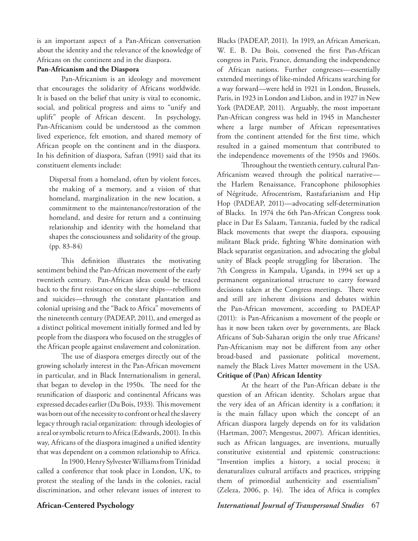is an important aspect of a Pan-African conversation about the identity and the relevance of the knowledge of Africans on the continent and in the diaspora.

### **Pan-Africanism and the Diaspora**

Pan-Africanism is an ideology and movement that encourages the solidarity of Africans worldwide. It is based on the belief that unity is vital to economic, social, and political progress and aims to "unify and uplift" people of African descent. In psychology, Pan-Africanism could be understood as the common lived experience, felt emotion, and shared memory of African people on the continent and in the diaspora. In his definition of diaspora, Safran (1991) said that its constituent elements include:

Dispersal from a homeland, often by violent forces, the making of a memory, and a vision of that homeland, marginalization in the new location, a commitment to the maintenance/restoration of the homeland, and desire for return and a continuing relationship and identity with the homeland that shapes the consciousness and solidarity of the group. (pp. 83-84)

This definition illustrates the motivating sentiment behind the Pan-African movement of the early twentieth century. Pan-African ideas could be traced back to the first resistance on the slave ships—rebellions and suicides—through the constant plantation and colonial uprising and the "Back to Africa" movements of the nineteenth century (PADEAP, 2011), and emerged as a distinct political movement initially formed and led by people from the diaspora who focused on the struggles of the African people against enslavement and colonization.

The use of diaspora emerges directly out of the growing scholarly interest in the Pan-African movement in particular, and in Black Internationalism in general, that began to develop in the 1950s. The need for the reunification of diasporic and continental Africans was expressed decades earlier (Du Bois, 1933). This movement was born out of the necessity to confront or heal the slavery legacy through racial organization: through ideologies of a real or symbolic return to Africa (Edwards, 2001). In this way, Africans of the diaspora imagined a unified identity that was dependent on a common relationship to Africa.

In 1900, Henry Sylvester Williams from Trinidad called a conference that took place in London, UK, to protest the stealing of the lands in the colonies, racial discrimination, and other relevant issues of interest to

Blacks (PADEAP, 2011). In 1919, an African American, W. E. B. Du Bois, convened the first Pan-African congress in Paris, France, demanding the independence of African nations. Further congresses—essentially extended meetings of like-minded Africans searching for a way forward—were held in 1921 in London, Brussels, Paris, in 1923 in London and Lisbon, and in 1927 in New York (PADEAP, 2011). Arguably, the most important Pan-African congress was held in 1945 in Manchester where a large number of African representatives from the continent attended for the first time, which resulted in a gained momentum that contributed to the independence movements of the 1950s and 1960s.

Throughout the twentieth century, cultural Pan-Africanism weaved through the political narrative the Harlem Renaissance, Francophone philosophies of Négritude, Afrocentrism, Rastafarianism and Hip Hop (PADEAP, 2011)—advocating self-determination of Blacks. In 1974 the 6th Pan-African Congress took place in Dar Es Salaam, Tanzania, fueled by the radical Black movements that swept the diaspora, espousing militant Black pride, fighting White domination with Black separatist organization, and advocating the global unity of Black people struggling for liberation. The 7th Congress in Kampala, Uganda, in 1994 set up a permanent organizational structure to carry forward decisions taken at the Congress meetings. There were and still are inherent divisions and debates within the Pan-African movement, according to PADEAP (2011): is Pan-Africanism a movement of the people or has it now been taken over by governments, are Black Africans of Sub-Saharan origin the only true Africans? Pan-Africanism may not be different from any other broad-based and passionate political movement, namely the Black Lives Matter movement in the USA. **Critique of (Pan) African Identity**

At the heart of the Pan-African debate is the question of an African identity. Scholars argue that the very idea of an African identity is a conflation; it is the main fallacy upon which the concept of an African diaspora largely depends on for its validation (Hartman, 2007; Mengestus, 2007). African identities, such as African languages, are inventions, mutually constitutive existential and epistemic constructions: "Invention implies a history, a social process; it denaturalizes cultural artifacts and practices, stripping them of primordial authenticity and essentialism" (Zeleza, 2006, p. 14). The idea of Africa is complex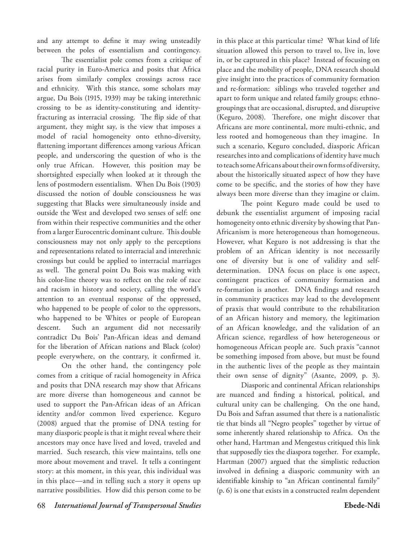and any attempt to define it may swing unsteadily between the poles of essentialism and contingency.

The essentialist pole comes from a critique of racial purity in Euro-America and posits that Africa arises from similarly complex crossings across race and ethnicity. With this stance, some scholars may argue, Du Bois (1915, 1939) may be taking interethnic crossing to be as identity-constituting and identityfracturing as interracial crossing. The flip side of that argument, they might say, is the view that imposes a model of racial homogeneity onto ethno-diversity, flattening important differences among various African people, and underscoring the question of who is the only true African. However, this position may be shortsighted especially when looked at it through the lens of postmodern essentialism. When Du Bois (1903) discussed the notion of double consciousness he was suggesting that Blacks were simultaneously inside and outside the West and developed two senses of self: one from within their respective communities and the other from a larger Eurocentric dominant culture. This double consciousness may not only apply to the perceptions and representations related to interracial and interethnic crossings but could be applied to interracial marriages as well. The general point Du Bois was making with his color-line theory was to reflect on the role of race and racism in history and society, calling the world's attention to an eventual response of the oppressed, who happened to be people of color to the oppressors, who happened to be Whites or people of European descent. Such an argument did not necessarily contradict Du Bois' Pan-African ideas and demand for the liberation of African nations and Black (color) people everywhere, on the contrary, it confirmed it.

On the other hand, the contingency pole comes from a critique of racial homogeneity in Africa and posits that DNA research may show that Africans are more diverse than homogeneous and cannot be used to support the Pan-African ideas of an African identity and/or common lived experience. Keguro (2008) argued that the promise of DNA testing for many diasporic people is that it might reveal where their ancestors may once have lived and loved, traveled and married. Such research, this view maintains, tells one more about movement and travel. It tells a contingent story: at this moment, in this year, this individual was in this place—and in telling such a story it opens up narrative possibilities. How did this person come to be

in this place at this particular time? What kind of life situation allowed this person to travel to, live in, love in, or be captured in this place? Instead of focusing on place and the mobility of people, DNA research should give insight into the practices of community formation and re-formation: siblings who traveled together and apart to form unique and related family groups; ethnogroupings that are occasional, disrupted, and disruptive (Keguro, 2008). Therefore, one might discover that Africans are more continental, more multi-ethnic, and less rooted and homogeneous than they imagine. In such a scenario, Keguro concluded, diasporic African researches into and complications of identity have much to teach some Africans about their own forms of diversity, about the historically situated aspect of how they have come to be specific, and the stories of how they have always been more diverse than they imagine or claim.

The point Keguro made could be used to debunk the essentialist argument of imposing racial homogeneity onto ethnic diversity by showing that Pan-Africanism is more heterogeneous than homogeneous. However, what Keguro is not addressing is that the problem of an African identity is not necessarily one of diversity but is one of validity and selfdetermination. DNA focus on place is one aspect, contingent practices of community formation and re-formation is another. DNA findings and research in community practices may lead to the development of praxis that would contribute to the rehabilitation of an African history and memory, the legitimation of an African knowledge, and the validation of an African science, regardless of how heterogeneous or homogeneous African people are. Such praxis "cannot be something imposed from above, but must be found in the authentic lives of the people as they maintain their own sense of dignity" (Asante, 2009, p. 3).

Diasporic and continental African relationships are nuanced and finding a historical, political, and cultural unity can be challenging. On the one hand, Du Bois and Safran assumed that there is a nationalistic tie that binds all "Negro peoples" together by virtue of some inherently shared relationship to Africa. On the other hand, Hartman and Mengestus critiqued this link that supposedly ties the diaspora together. For example, Hartman (2007) argued that the simplistic reduction involved in defining a diasporic community with an identifiable kinship to "an African continental family" (p. 6) is one that exists in a constructed realm dependent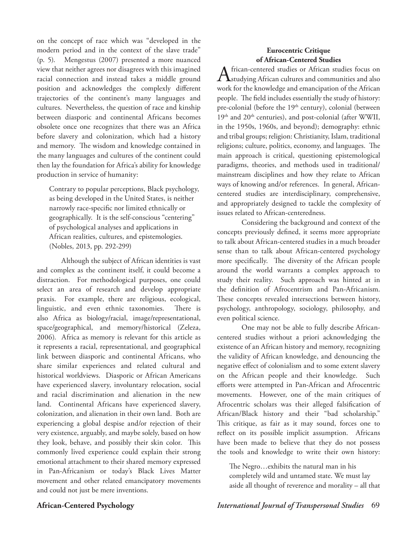on the concept of race which was "developed in the modern period and in the context of the slave trade" (p. 5). Mengestus (2007) presented a more nuanced view that neither agrees nor disagrees with this imagined racial connection and instead takes a middle ground position and acknowledges the complexly different trajectories of the continent's many languages and cultures. Nevertheless, the question of race and kinship between diasporic and continental Africans becomes obsolete once one recognizes that there was an Africa before slavery and colonization, which had a history and memory. The wisdom and knowledge contained in the many languages and cultures of the continent could then lay the foundation for Africa's ability for knowledge production in service of humanity:

Contrary to popular perceptions, Black psychology, as being developed in the United States, is neither narrowly race-specific nor limited ethnically or geographically. It is the self-conscious "centering" of psychological analyses and applications in African realities, cultures, and epistemologies. (Nobles, 2013, pp. 292-299)

Although the subject of African identities is vast and complex as the continent itself, it could become a distraction. For methodological purposes, one could select an area of research and develop appropriate praxis. For example, there are religious, ecological, linguistic, and even ethnic taxonomies. There is also Africa as biology/racial, image/representational, space/geographical, and memory/historical (Zeleza, 2006). Africa as memory is relevant for this article as it represents a racial, representational, and geographical link between diasporic and continental Africans, who share similar experiences and related cultural and historical worldviews. Diasporic or African Americans have experienced slavery, involuntary relocation, social and racial discrimination and alienation in the new land. Continental Africans have experienced slavery, colonization, and alienation in their own land. Both are experiencing a global despise and/or rejection of their very existence, arguably, and maybe solely, based on how they look, behave, and possibly their skin color. This commonly lived experience could explain their strong emotional attachment to their shared memory expressed in Pan-Africanism or today's Black Lives Matter movement and other related emancipatory movements and could not just be mere inventions.

# **Eurocentric Critique of African-Centered Studies**

African-centered studies or African studies focus on Studying African cultures and communities and also work for the knowledge and emancipation of the African people. The field includes essentially the study of history: pre-colonial (before the 19<sup>th</sup> century), colonial (between 19<sup>th</sup> and 20<sup>th</sup> centuries), and post-colonial (after WWII, in the 1950s, 1960s, and beyond); demography: ethnic and tribal groups; religion: Christianity, Islam, traditional religions; culture, politics, economy, and languages. The main approach is critical, questioning epistemological paradigms, theories, and methods used in traditional/ mainstream disciplines and how they relate to African ways of knowing and/or references. In general, Africancentered studies are interdisciplinary, comprehensive, and appropriately designed to tackle the complexity of issues related to African-centeredness.

Considering the background and context of the concepts previously defined, it seems more appropriate to talk about African-centered studies in a much broader sense than to talk about African-centered psychology more specifically. The diversity of the African people around the world warrants a complex approach to study their reality. Such approach was hinted at in the definition of Afrocentrism and Pan-Africanism. These concepts revealed intersections between history, psychology, anthropology, sociology, philosophy, and even political science.

One may not be able to fully describe Africancentered studies without a priori acknowledging the existence of an African history and memory, recognizing the validity of African knowledge, and denouncing the negative effect of colonialism and to some extent slavery on the African people and their knowledge. Such efforts were attempted in Pan-African and Afrocentric movements. However, one of the main critiques of Afrocentric scholars was their alleged falsification of African/Black history and their "bad scholarship." This critique, as fair as it may sound, forces one to reflect on its possible implicit assumption. Africans have been made to believe that they do not possess the tools and knowledge to write their own history:

The Negro…exhibits the natural man in his completely wild and untamed state. We must lay aside all thought of reverence and morality – all that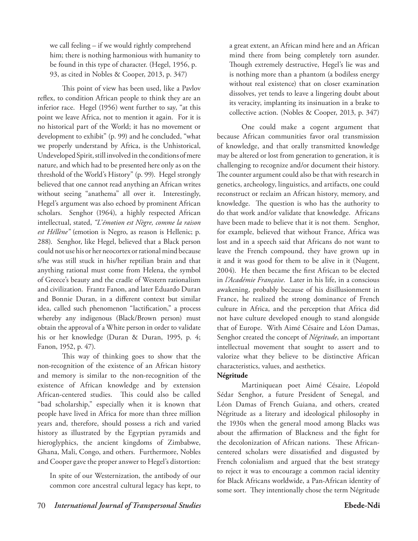we call feeling – if we would rightly comprehend him; there is nothing harmonious with humanity to be found in this type of character. (Hegel, 1956, p. 93, as cited in Nobles & Cooper, 2013, p. 347)

This point of view has been used, like a Pavlov reflex, to condition African people to think they are an inferior race. Hegel (1956) went further to say, "at this point we leave Africa, not to mention it again. For it is no historical part of the World; it has no movement or development to exhibit" (p. 99) and he concluded, "what we properly understand by Africa, is the Unhistorical, Undeveloped Spirit, still involved in the conditions of mere nature, and which had to be presented here only as on the threshold of the World's History" (p. 99). Hegel strongly believed that one cannot read anything an African writes without seeing "anathema" all over it. Interestingly, Hegel's argument was also echoed by prominent African scholars. Senghor (1964), a highly respected African intellectual, stated, *"L'émotion est Nègre, comme la raison est Héllène"* (emotion is Negro, as reason is Hellenic; p. 288). Senghor, like Hegel, believed that a Black person could not use his or her neocortex or rational mind because s/he was still stuck in his/her reptilian brain and that anything rational must come from Helena, the symbol of Greece's beauty and the cradle of Western rationalism and civilization. Frantz Fanon, and later Eduardo Duran and Bonnie Duran, in a different context but similar idea, called such phenomenon "lactification," a process whereby any indigenous (Black/Brown person) must obtain the approval of a White person in order to validate his or her knowledge (Duran & Duran, 1995, p. 4; Fanon, 1952, p. 47).

This way of thinking goes to show that the non-recognition of the existence of an African history and memory is similar to the non-recognition of the existence of African knowledge and by extension African-centered studies. This could also be called "bad scholarship," especially when it is known that people have lived in Africa for more than three million years and, therefore, should possess a rich and varied history as illustrated by the Egyptian pyramids and hieroglyphics, the ancient kingdoms of Zimbabwe, Ghana, Mali, Congo, and others. Furthermore, Nobles and Cooper gave the proper answer to Hegel's distortion:

In spite of our Westernization, the antibody of our common core ancestral cultural legacy has kept, to a great extent, an African mind here and an African mind there from being completely torn asunder. Though extremely destructive, Hegel's lie was and is nothing more than a phantom (a bodiless energy without real existence) that on closer examination dissolves, yet tends to leave a lingering doubt about its veracity, implanting its insinuation in a brake to collective action. (Nobles & Cooper, 2013, p. 347)

One could make a cogent argument that because African communities favor oral transmission of knowledge, and that orally transmitted knowledge may be altered or lost from generation to generation, it is challenging to recognize and/or document their history. The counter argument could also be that with research in genetics, archeology, linguistics, and artifacts, one could reconstruct or reclaim an African history, memory, and knowledge. The question is who has the authority to do that work and/or validate that knowledge. Africans have been made to believe that it is not them. Senghor, for example, believed that without France, Africa was lost and in a speech said that Africans do not want to leave the French compound, they have grown up in it and it was good for them to be alive in it (Nugent, 2004). He then became the first African to be elected in *l'Académie Française*. Later in his life, in a conscious awakening, probably because of his disillusionment in France, he realized the strong dominance of French culture in Africa, and the perception that Africa did not have culture developed enough to stand alongside that of Europe. With Aimé Césaire and Léon Damas, Senghor created the concept of *Négritude*, an important intellectual movement that sought to assert and to valorize what they believe to be distinctive African characteristics, values, and aesthetics.

# **Négritude**

Martiniquean poet Aimé Césaire, Léopold Sédar Senghor, a future President of Senegal, and Léon Damas of French Guiana, and others, created Négritude as a literary and ideological philosophy in the 1930s when the general mood among Blacks was about the affirmation of Blackness and the fight for the decolonization of African nations. These Africancentered scholars were dissatisfied and disgusted by French colonialism and argued that the best strategy to reject it was to encourage a common racial identity for Black Africans worldwide, a Pan-African identity of some sort. They intentionally chose the term Négritude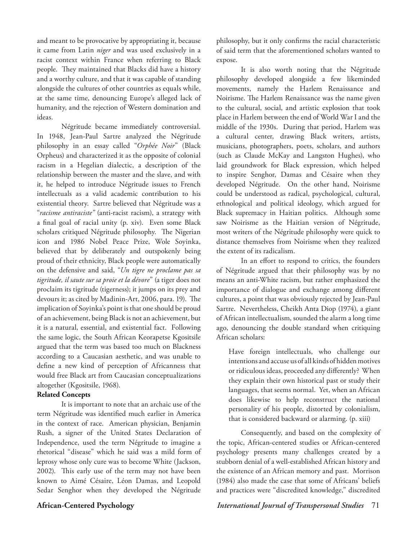and meant to be provocative by appropriating it, because it came from Latin *niger* and was used exclusively in a racist context within France when referring to Black people. They maintained that Blacks did have a history and a worthy culture, and that it was capable of standing alongside the cultures of other countries as equals while, at the same time, denouncing Europe's alleged lack of humanity, and the rejection of Western domination and ideas.

Négritude became immediately controversial. In 1948, Jean-Paul Sartre analyzed the Négritude philosophy in an essay called "*Orphée Noir*" (Black Orpheus) and characterized it as the opposite of colonial racism in a Hegelian dialectic, a description of the relationship between the master and the slave, and with it, he helped to introduce Négritude issues to French intellectuals as a valid academic contribution to his existential theory. Sartre believed that Négritude was a "*racisme antiraciste"* (anti-racist racism), a strategy with a final goal of racial unity (p. xiv). Even some Black scholars critiqued Négritude philosophy. The Nigerian icon and 1986 Nobel Peace Prize, Wole Soyinka, believed that by deliberately and outspokenly being proud of their ethnicity, Black people were automatically on the defensive and said, "*Un tigre ne proclame pas sa tigritude, il saute sur sa proie et la dévore*" (a tiger does not proclaim its tigritude (tigerness); it jumps on its prey and devours it; as cited by Madinin-Art, 2006, para. 19). The implication of Soyinka's point is that one should be proud of an achievement, being Black is not an achievement, but it is a natural, essential, and existential fact. Following the same logic, the South African Keorapetse Kgositsile argued that the term was based too much on Blackness according to a Caucasian aesthetic, and was unable to define a new kind of perception of Africanness that would free Black art from Caucasian conceptualizations altogether (Kgositsile, 1968).

### **Related Concepts**

It is important to note that an archaic use of the term Négritude was identified much earlier in America in the context of race. American physician, Benjamin Rush, a signer of the United States Declaration of Independence, used the term Négritude to imagine a rhetorical "disease" which he said was a mild form of leprosy whose only cure was to become White (Jackson, 2002). This early use of the term may not have been known to Aimé Césaire, Léon Damas, and Leopold Sedar Senghor when they developed the Négritude

philosophy, but it only confirms the racial characteristic of said term that the aforementioned scholars wanted to expose.

It is also worth noting that the Négritude philosophy developed alongside a few likeminded movements, namely the Harlem Renaissance and Noirisme. The Harlem Renaissance was the name given to the cultural, social, and artistic explosion that took place in Harlem between the end of World War I and the middle of the 1930s. During that period, Harlem was a cultural center, drawing Black writers, artists, musicians, photographers, poets, scholars, and authors (such as Claude McKay and Langston Hughes), who laid groundwork for Black expression, which helped to inspire Senghor, Damas and Césaire when they developed Négritude. On the other hand, Noirisme could be understood as radical, psychological, cultural, ethnological and political ideology, which argued for Black supremacy in Haitian politics. Although some saw Noirisme as the Haitian version of Négritude, most writers of the Négritude philosophy were quick to distance themselves from Noirisme when they realized the extent of its radicalism.

In an effort to respond to critics, the founders of Négritude argued that their philosophy was by no means an anti-White racism, but rather emphasized the importance of dialogue and exchange among different cultures, a point that was obviously rejected by Jean-Paul Sartre. Nevertheless, Cheikh Anta Diop (1974), a giant of African intellectualism, sounded the alarm a long time ago, denouncing the double standard when critiquing African scholars:

Have foreign intellectuals, who challenge our intentions and accuse us of all kinds of hidden motives or ridiculous ideas, proceeded any differently? When they explain their own historical past or study their languages, that seems normal. Yet, when an African does likewise to help reconstruct the national personality of his people, distorted by colonialism, that is considered backward or alarming. (p. xiii)

Consequently, and based on the complexity of the topic, African-centered studies or African-centered psychology presents many challenges created by a stubborn denial of a well-established African history and the existence of an African memory and past. Morrison (1984) also made the case that some of Africans' beliefs and practices were "discredited knowledge," discredited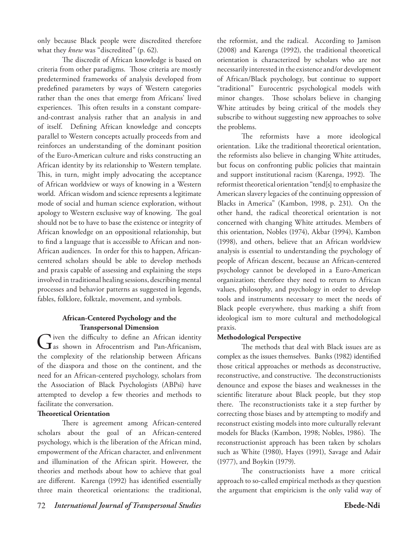only because Black people were discredited therefore what they *knew* was "discredited" (p. 62).

The discredit of African knowledge is based on criteria from other paradigms. Those criteria are mostly predetermined frameworks of analysis developed from predefined parameters by ways of Western categories rather than the ones that emerge from Africans' lived experiences. This often results in a constant compareand-contrast analysis rather that an analysis in and of itself. Defining African knowledge and concepts parallel to Western concepts actually proceeds from and reinforces an understanding of the dominant position of the Euro-American culture and risks constructing an African identity by its relationship to Western template. This, in turn, might imply advocating the acceptance of African worldview or ways of knowing in a Western world. African wisdom and science represents a legitimate mode of social and human science exploration, without apology to Western exclusive way of knowing. The goal should not be to have to base the existence or integrity of African knowledge on an oppositional relationship, but to find a language that is accessible to African and non-African audiences. In order for this to happen, Africancentered scholars should be able to develop methods and praxis capable of assessing and explaining the steps involved in traditional healing sessions, describing mental processes and behavior patterns as suggested in legends, fables, folklore, folktale, movement, and symbols.

# **African-Centered Psychology and the Transpersonal Dimension**

Given the difficulty to define an African identity<br>
as shown in Afrocentrism and Pan-Africanism, the complexity of the relationship between Africans of the diaspora and those on the continent, and the need for an African-centered psychology, scholars from the Association of Black Psychologists (ABPsi) have attempted to develop a few theories and methods to facilitate the conversation.

# **Theoretical Orientation**

There is agreement among African-centered scholars about the goal of an African-centered psychology, which is the liberation of the African mind, empowerment of the African character, and enlivenment and illumination of the African spirit. However, the theories and methods about how to achieve that goal are different. Karenga (1992) has identified essentially three main theoretical orientations: the traditional, the reformist, and the radical. According to Jamison (2008) and Karenga (1992), the traditional theoretical orientation is characterized by scholars who are not necessarily interested in the existence and/or development of African/Black psychology, but continue to support "traditional" Eurocentric psychological models with minor changes. Those scholars believe in changing White attitudes by being critical of the models they subscribe to without suggesting new approaches to solve the problems.

The reformists have a more ideological orientation. Like the traditional theoretical orientation, the reformists also believe in changing White attitudes, but focus on confronting public policies that maintain and support institutional racism (Karenga, 1992). The reformist theoretical orientation "tend[s] to emphasize the American slavery legacies of the continuing oppression of Blacks in America" (Kambon, 1998, p. 231). On the other hand, the radical theoretical orientation is not concerned with changing White attitudes. Members of this orientation, Nobles (1974), Akbar (1994), Kambon (1998), and others, believe that an African worldview analysis is essential to understanding the psychology of people of African descent, because an African-centered psychology cannot be developed in a Euro-American organization; therefore they need to return to African values, philosophy, and psychology in order to develop tools and instruments necessary to meet the needs of Black people everywhere, thus marking a shift from ideological ism to more cultural and methodological praxis.

# **Methodological Perspective**

The methods that deal with Black issues are as complex as the issues themselves. Banks (1982) identified those critical approaches or methods as deconstructive, reconstructive, and constructive. The deconstructionists denounce and expose the biases and weaknesses in the scientific literature about Black people, but they stop there. The reconstructionists take it a step further by correcting those biases and by attempting to modify and reconstruct existing models into more culturally relevant models for Blacks (Kambon, 1998; Nobles, 1986). The reconstructionist approach has been taken by scholars such as White (1980), Hayes (1991), Savage and Adair (1977), and Boykin (1979).

The constructionists have a more critical approach to so-called empirical methods as they question the argument that empiricism is the only valid way of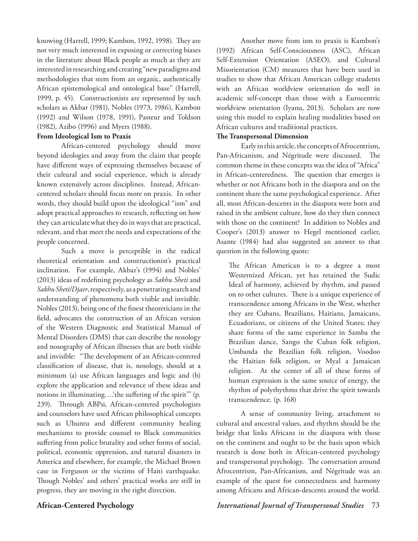knowing (Harrell, 1999; Kambon, 1992, 1998). They are not very much interested in exposing or correcting biases in the literature about Black people as much as they are interested in researching and creating "new paradigms and methodologies that stem from an organic, authentically African epistemological and ontological base" (Harrell, 1999, p. 45). Constructionists are represented by such scholars as Akbar (1981), Nobles (1973, 1986), Kambon (1992) and Wilson (1978, 1991), Pasteur and Toldson (1982), Azibo (1996) and Myers (1988).

#### **From Ideological Ism to Praxis**

African-centered psychology should move beyond ideologies and away from the claim that people have different ways of expressing themselves because of their cultural and social experience, which is already known extensively across disciplines. Instead, Africancentered scholars should focus more on praxis. In other words, they should build upon the ideological "ism" and adopt practical approaches to research, reflecting on how they can articulate what they do in ways that are practical, relevant, and that meet the needs and expectations of the people concerned.

Such a move is perceptible in the radical theoretical orientation and constructionist's practical inclination. For example, Akbar's (1994) and Nobles' (2013) ideas of redefining psychology as *Sakhu Sheti* and *Sakhu Sheti/Djaer*, respectively, as a penetrating search and understanding of phenomena both visible and invisible. Nobles (2013), being one of the finest theoreticians in the field, advocates the construction of an African version of the Western Diagnostic and Statistical Manual of Mental Disorders (DMS) that can describe the nosology and nosography of African illnesses that are both visible and invisible: "The development of an African-centered classification of disease, that is, nosology, should at a minimum (a) use African languages and logic and (b) explore the application and relevance of these ideas and notions in illuminating….'the suffering of the spirit'" (p. 239). Through ABPsi, African-centered psychologists and counselors have used African philosophical concepts such as Ubuntu and different community healing mechanisms to provide counsel to Black communities suffering from police brutality and other forms of social, political, economic oppression, and natural disasters in America and elsewhere, for example, the Michael Brown case in Ferguson or the victims of Haiti earthquake. Though Nobles' and others' practical works are still in progress, they are moving in the right direction.

Another move from ism to praxis is Kambon's (1992) African Self-Consciousness (ASC), African Self-Extension Orientation (ASEO), and Cultural Misorientation (CM) measures that have been used in studies to show that African American college students with an African worldview orientation do well in academic self-concept than those with a Eurocentric worldview orientation (Iyanu, 2013). Scholars are now using this model to explain healing modalities based on African cultures and traditional practices.

### **The Transpersonal Dimension**

Early in this article, the concepts of Afrocentrism, Pan-Africanism, and Négritude were discussed. The common theme in these concepts was the idea of "Africa" in African-centeredness. The question that emerges is whether or not Africans both in the diaspora and on the continent share the same psychological experience. After all, most African-descents in the diaspora were born and raised in the ambient culture, how do they then connect with those on the continent? In addition to Nobles and Cooper's (2013) answer to Hegel mentioned earlier, Asante (1984) had also suggested an answer to that question in the following quote:

The African American is to a degree a most Westernized African, yet has retained the Sudic Ideal of harmony, achieved by rhythm, and passed on to other cultures. There is a unique experience of transcendence among Africans in the West, whether they are Cubans, Brazilians, Haitians, Jamaicans, Ecuadorians, or citizens of the United States; they share forms of the same experience in Samba the Brazilian dance, Sango the Cuban folk religion, Umbanda the Brazilian folk religion, Voodoo the Haitian folk religion, or Myal a Jamaican religion. At the center of all of these forms of human expression is the same source of energy, the rhythm of polyrhythms that drive the spirit towards transcendence. (p. 168)

A sense of community living, attachment to cultural and ancestral values, and rhythm should be the bridge that links Africans in the diaspora with those on the continent and ought to be the basis upon which research is done both in African-centered psychology and transpersonal psychology. The conversation around Afrocentrism, Pan-Africanism, and Négritude was an example of the quest for connectedness and harmony among Africans and African-descents around the world.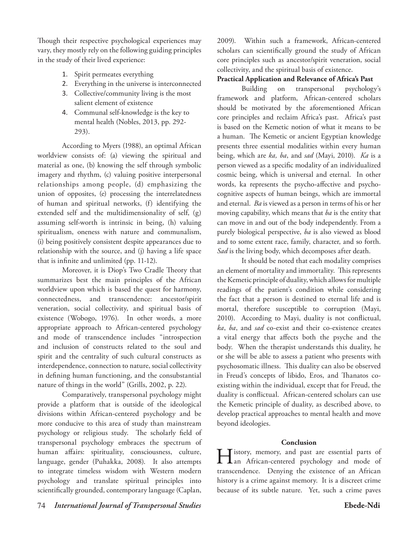Though their respective psychological experiences may vary, they mostly rely on the following guiding principles in the study of their lived experience:

- 1. Spirit permeates everything
- 2. Everything in the universe is interconnected
- 3. Collective/community living is the most salient element of existence
- 4. Communal self-knowledge is the key to mental health (Nobles, 2013, pp. 292- 293).

According to Myers (1988), an optimal African worldview consists of: (a) viewing the spiritual and material as one, (b) knowing the self through symbolic imagery and rhythm, (c) valuing positive interpersonal relationships among people, (d) emphasizing the union of opposites, (e) processing the interrelatedness of human and spiritual networks, (f) identifying the extended self and the multidimensionality of self, (g) assuming self-worth is intrinsic in being, (h) valuing spiritualism, oneness with nature and communalism, (i) being positively consistent despite appearances due to relationship with the source, and (j) having a life space that is infinite and unlimited (pp. 11-12).

Moreover, it is Diop's Two Cradle Theory that summarizes best the main principles of the African worldview upon which is based the quest for harmony, connectedness, and transcendence: ancestor/spirit veneration, social collectivity, and spiritual basis of existence (Wobogo, 1976). In other words, a more appropriate approach to African-centered psychology and mode of transcendence includes "introspection and inclusion of constructs related to the soul and spirit and the centrality of such cultural constructs as interdependence, connection to nature, social collectivity in defining human functioning, and the consubstantial nature of things in the world" (Grills, 2002, p. 22).

Comparatively, transpersonal psychology might provide a platform that is outside of the ideological divisions within African-centered psychology and be more conducive to this area of study than mainstream psychology or religious study. The scholarly field of transpersonal psychology embraces the spectrum of human affairs: spirituality, consciousness, culture, language, gender (Puhakka, 2008). It also attempts to integrate timeless wisdom with Western modern psychology and translate spiritual principles into scientifically grounded, contemporary language (Caplan,

2009). Within such a framework, African-centered scholars can scientifically ground the study of African core principles such as ancestor/spirit veneration, social collectivity, and the spiritual basis of existence.

# **Practical Application and Relevance of Africa's Past**

Building on transpersonal psychology's framework and platform, African-centered scholars should be motivated by the aforementioned African core principles and reclaim Africa's past. Africa's past is based on the Kemetic notion of what it means to be a human. The Kemetic or ancient Egyptian knowledge presents three essential modalities within every human being, which are *ka, ba*, and *sad* (Mayi, 2010). *Ka* is a person viewed as a specific modality of an individualized cosmic being, which is universal and eternal. In other words, ka represents the psycho-affective and psychocognitive aspects of human beings, which are immortal and eternal. *Ba* is viewed as a person in terms of his or her moving capability, which means that *ba* is the entity that can move in and out of the body independently. From a purely biological perspective, *ba* is also viewed as blood and to some extent race, family, character, and so forth. *Sad* is the living body, which decomposes after death.

It should be noted that each modality comprises an element of mortality and immortality. This represents the Kemetic principle of duality, which allows for multiple readings of the patient's condition while considering the fact that a person is destined to eternal life and is mortal, therefore susceptible to corruption (Mayi, 2010). According to Mayi, duality is not conflictual, *ka*, *ba*, and *sad* co-exist and their co-existence creates a vital energy that affects both the psyche and the body. When the therapist understands this duality, he or she will be able to assess a patient who presents with psychosomatic illness. This duality can also be observed in Freud's concepts of libido, Eros, and Thanatos coexisting within the individual, except that for Freud, the duality is conflictual. African-centered scholars can use the Kemetic principle of duality, as described above, to develop practical approaches to mental health and move beyond ideologies.

# **Conclusion**

History, memory, and past are essential parts of an African-centered psychology and mode of transcendence. Denying the existence of an African history is a crime against memory. It is a discreet crime because of its subtle nature. Yet, such a crime paves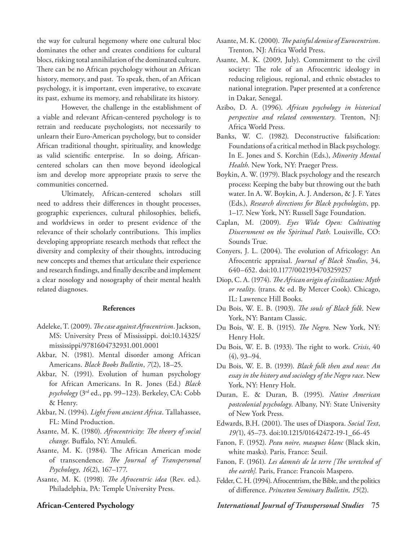the way for cultural hegemony where one cultural bloc dominates the other and creates conditions for cultural blocs, risking total annihilation of the dominated culture. There can be no African psychology without an African history, memory, and past. To speak, then, of an African psychology, it is important, even imperative, to excavate its past, exhume its memory, and rehabilitate its history.

However, the challenge in the establishment of a viable and relevant African-centered psychology is to retrain and reeducate psychologists, not necessarily to unlearn their Euro-American psychology, but to consider African traditional thought, spirituality, and knowledge as valid scientific enterprise. In so doing, Africancentered scholars can then move beyond ideological ism and develop more appropriate praxis to serve the communities concerned.

Ultimately, African-centered scholars still need to address their differences in thought processes, geographic experiences, cultural philosophies, beliefs, and worldviews in order to present evidence of the relevance of their scholarly contributions. This implies developing appropriate research methods that reflect the diversity and complexity of their thoughts, introducing new concepts and themes that articulate their experience and research findings, and finally describe and implement a clear nosology and nosography of their mental health related diagnoses.

#### **References**

- Adeleke, T. (2009). *The case against Afrocentrism*. Jackson, MS: University Press of Mississippi. doi:10.14325/ mississippi/9781604732931.001.0001
- Akbar, N. (1981). Mental disorder among African Americans. *Black Books Bulletin*, *7*(2), 18–25.
- Akbar, N. (1991). Evolution of human psychology for African Americans. In R. Jones (Ed.) *Black psychology* (3rd ed., pp. 99–123). Berkeley, CA: Cobb & Henry.
- Akbar, N. (1994). *Light from ancient Africa*. Tallahassee, FL: Mind Production.
- Asante, M. K. (1980). *Afrocentricity: The theory of social change*. Buffalo, NY: Amulefi.
- Asante, M. K. (1984). The African American mode of transcendence. *The Journal of Transpersonal Psychology, 16*(2), 167–177.
- Asante, M. K. (1998). *The Afrocentric idea* (Rev. ed.). Philadelphia, PA: Temple University Press.

- Asante, M. K. (2000). *The painful demise of Eurocentrism*. Trenton, NJ: Africa World Press.
- Asante, M. K. (2009, July). Commitment to the civil society: The role of an Afrocentric ideology in reducing religious, regional, and ethnic obstacles to national integration. Paper presented at a conference in Dakar, Senegal.
- Azibo, D. A. (1996). *African psychology in historical perspective and related commentary.* Trenton, NJ: Africa World Press.
- Banks, W. C. (1982). Deconstructive falsification: Foundations of a critical method in Black psychology. In E. Jones and S. Korchin (Eds.), *Minority Mental Health*. New York, NY: Praeger Press.
- Boykin, A. W. (1979). Black psychology and the research process: Keeping the baby but throwing out the bath water. In A. W. Boykin, A. J. Anderson, & J. F. Yates (Eds.), *Research directions for Black psychologists*, pp. 1–17. New York, NY: Russell Sage Foundation.
- Caplan, M. (2009). *Eyes Wide Open: Cultivating Discernment on the Spiritual Path*. Louisville, CO: Sounds True.
- Conyers, J. L. (2004). The evolution of Africology: An Afrocentric appraisal. *Journal of Black Studies*, 34, 640–652. doi:10.1177/0021934703259257
- Diop, C. A. (1974). *The African origin of civilization: Myth or reality*. (trans. & ed. By Mercer Cook). Chicago, IL: Lawrence Hill Books.
- Du Bois, W. E. B. (1903). *The souls of Black folk*. New York, NY: Bantam Classic.
- Du Bois, W. E. B. (1915). *The Negro*. New York, NY: Henry Holt.
- Du Bois, W. E. B. (1933). The right to work. *Crisis*, 40 (4), 93–94.
- Du Bois, W. E. B. (1939). *Black folk then and now: An essay in the history and sociology of the Negro race*. New York, NY: Henry Holt.
- Duran, E. & Duran, B. (1995). *Native American postcolonial psychology*. Albany, NY: State University of New York Press.
- Edwards, B.H. (2001). The uses of Diaspora. *Social Text*, *19(*1), 45–73. doi:10.1215/01642472-19-1\_66-45
- Fanon, F. (1952). *Peau noire, masques blanc* (Black skin, white masks). Paris, France: Seuil.
- Fanon, F. (1961). *Les damnés de la terre [The wretched of the earth]*. Paris, France: Francois Maspero.
- Felder, C. H. (1994). Afrocentrism, the Bible, and the politics of difference. *Princeton Seminary Bulletin, 15*(2).

## **African-Centered Psychology** *International Journal of Transpersonal Studies* 75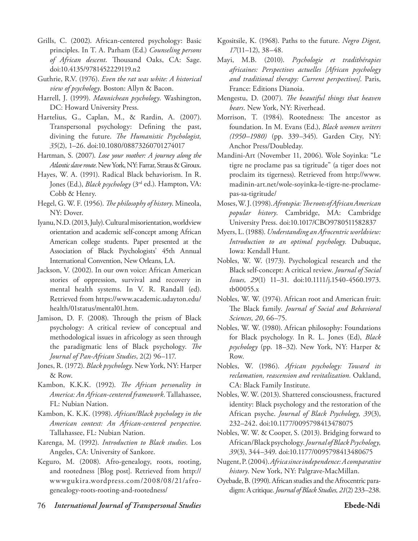- Grills, C. (2002). African-centered psychology: Basic principles. In T. A. Parham (Ed.) *Counseling persons of African descent*. Thousand Oaks, CA: Sage. doi:10.4135/9781452229119.n2
- Guthrie, R.V. (1976). *Even the rat was white: A historical view of psychology*. Boston: Allyn & Bacon.
- Harrell, J. (1999). *Mannichean psychology*. Washington, DC: Howard University Press.
- Hartelius, G., Caplan, M., & Rardin, A. (2007). Transpersonal psychology: Defining the past, divining the future. *The Humanistic Psychologist, 35*(2), 1–26. doi:10.1080/08873260701274017
- Hartman, S. (2007). *Lose your mother: A journey along the Atlantic slave route*. New York, NY: Farrar, Straus & Giroux.
- Hayes, W. A. (1991). Radical Black behaviorism. In R. Jones (Ed.), *Black psychology* (3rd ed.). Hampton, VA: Cobb & Henry.
- Hegel, G. W. F. (1956). *The philosophy of history*. Mineola, NY: Dover.
- Iyanu, N.D. (2013, July). Cultural misorientation, worldview orientation and academic self-concept among African American college students. Paper presented at the Association of Black Psychologists' 45th Annual International Convention, New Orleans, LA.
- Jackson, V. (2002). In our own voice: African American stories of oppression, survival and recovery in mental health systems. In V. R. Randall (ed). Retrieved from https://www.academic.udayton.edu/ health/01status/mental01.htm.
- Jamison, D. F. (2008). Through the prism of Black psychology: A critical review of conceptual and methodological issues in africology as seen through the paradigmatic lens of Black psychology. *The Journal of Pan-African Studies*, 2(2) 96–117.
- Jones, R. (1972). *Black psychology*. New York, NY: Harper & Row.
- Kambon, K.K.K. (1992). *The African personality in America: An African-centered framework*. Tallahassee, FL: Nubian Nation.
- Kambon, K. K.K. (1998). *African/Black psychology in the American context: An African-centered perspective*. Tallahassee, FL: Nubian Nation.
- Karenga, M. (1992). *Introduction to Black studies*. Los Angeles, CA: University of Sankore.
- Keguro, M. (2008). Afro-genealogy, roots, rooting, and rootedness [Blog post]. Retrieved from http:// wwwgukira.wordpress.com/2008/08/21/afrogenealogy-roots-rooting-and-rootedness/
- Kgositsile, K. (1968). Paths to the future. *Negro Digest, 17*(11–12), 38–48.
- Mayi, M.B. (2010). *Psychologie et tradithérapies africaines: Perspectives actuelles [African psychology and traditional therapy: Current perspectives]*. Paris, France: Editions Dianoia.
- Mengestu, D. (2007). *The beautiful things that heaven bears*. New York, NY: Riverhead.
- Morrison, T. (1984). Rootedness: The ancestor as foundation. In M. Evans (Ed.), *Black women writers (1950–1980)* (pp. 339–345). Garden City, NY: Anchor Press/Doubleday.
- Mandini-Art (November 11, 2006). Wole Soyinka: "Le tigre ne proclame pas sa tigritude" (a tiger does not proclaim its tigerness). Retrieved from http://www. madinin-art.net/wole-soyinka-le-tigre-ne-proclamepas-sa-tigritude/
- Moses, W. J. (1998). *Afrotopia: The roots of African American popular history*. Cambridge, MA: Cambridge University Press. doi:10.1017/CBO9780511582837
- Myers, L. (1988). *Understanding an Afrocentric worldview: Introduction to an optimal psychology.* Dubuque, Iowa: Kendall Hunt.
- Nobles, W. W. (1973). Psychological research and the Black self-concept: A critical review. *Journal of Social Issues, 29*(1) 11–31. doi:10.1111/j.1540-4560.1973. tb00055.x
- Nobles, W. W. (1974). African root and American fruit: The Black family. *Journal of Social and Behavioral Sciences, 20*, 66–75.
- Nobles, W. W. (1980). African philosophy: Foundations for Black psychology. In R. L. Jones (Ed), *Black psychology* (pp. 18–32). New York, NY: Harper & Row.
- Nobles, W. (1986). *African psychology: Toward its reclamation, reascension and revitalization.* Oakland, CA: Black Family Institute.
- Nobles, W. W. (2013). Shattered consciousness, fractured identity: Black psychology and the restoration of the African psyche. *Journal of Black Psychology, 39*(3), 232–242. doi:10.1177/0095798413478075
- Nobles, W. W. & Cooper, S. (2013). Bridging forward to African/Black psychology. *Journal of Black Psychology, 39*(3), 344–349. doi:10.1177/0095798413480675
- Nugent, P. (2004). *Africa since independence: A comparative history*. New York, NY: Palgrave-MacMillan.
- Oyebade, B. (1990). African studies and the Afrocentric paradigm: A critique. *Journal of Black Studies, 21*(2) 233–238.